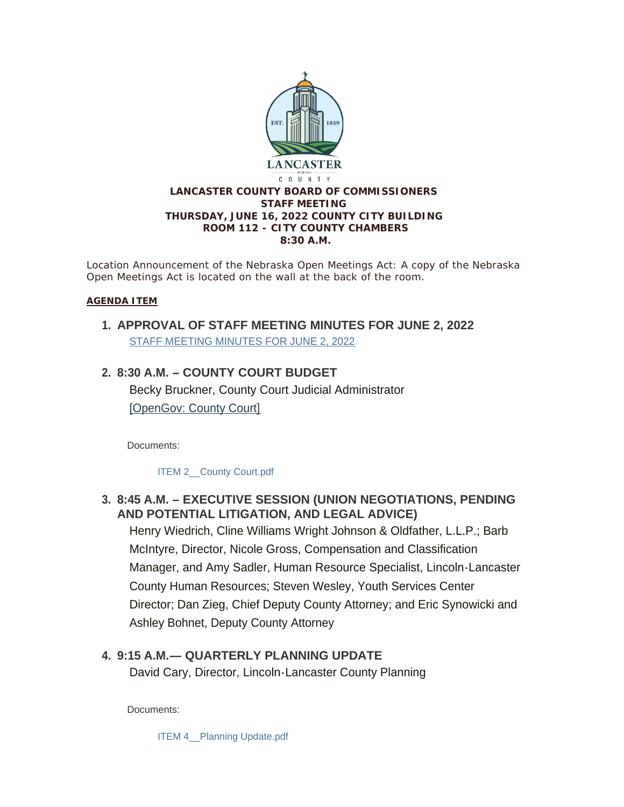

*Location Announcement of the Nebraska Open Meetings Act: A copy of the Nebraska Open Meetings Act is located on the wall at the back of the room.*

#### **AGENDA ITEM**

**APPROVAL OF STAFF MEETING MINUTES FOR JUNE 2, 2022 1.** [STAFF MEETING MINUTES FOR JUNE 2, 2022](https://www.lancaster.ne.gov/AgendaCenter/ViewFile/Minutes/_06022022-1619)

## **8:30 A.M. – COUNTY COURT BUDGET 2.** Becky Bruckner, County Court Judicial Administrator [\[OpenGov: County Court\]](https://lancaster.opengov.com/transparency#/62496/accountType=revenuesVersusExpenses&embed=n&breakdown=types¤tYearAmount=cumulative¤tYearPeriod=years&graph=bar&legendSort=desc&proration=true&saved_view=327988&selection=05DFFC7C96772E0BBE98144C25F7B5E3&projections=null&projectionType=null&highlighting=null&highlightingVariance=null&year=2022&selectedDataSetIndex=null&fiscal_start=earliest&fiscal_end=latest)

Documents:

ITEM 2 County Court.pdf

## **8:45 A.M. – EXECUTIVE SESSION (UNION NEGOTIATIONS, PENDING 3. AND POTENTIAL LITIGATION, AND LEGAL ADVICE)**

Henry Wiedrich, Cline Williams Wright Johnson & Oldfather, L.L.P.; Barb McIntyre, Director, Nicole Gross, Compensation and Classification Manager, and Amy Sadler, Human Resource Specialist, Lincoln-Lancaster County Human Resources; Steven Wesley, Youth Services Center Director; Dan Zieg, Chief Deputy County Attorney; and Eric Synowicki and Ashley Bohnet, Deputy County Attorney

# **9:15 A.M.— QUARTERLY PLANNING UPDATE 4.**

David Cary, Director, Lincoln-Lancaster County Planning

Documents:

ITEM 4 Planning Update.pdf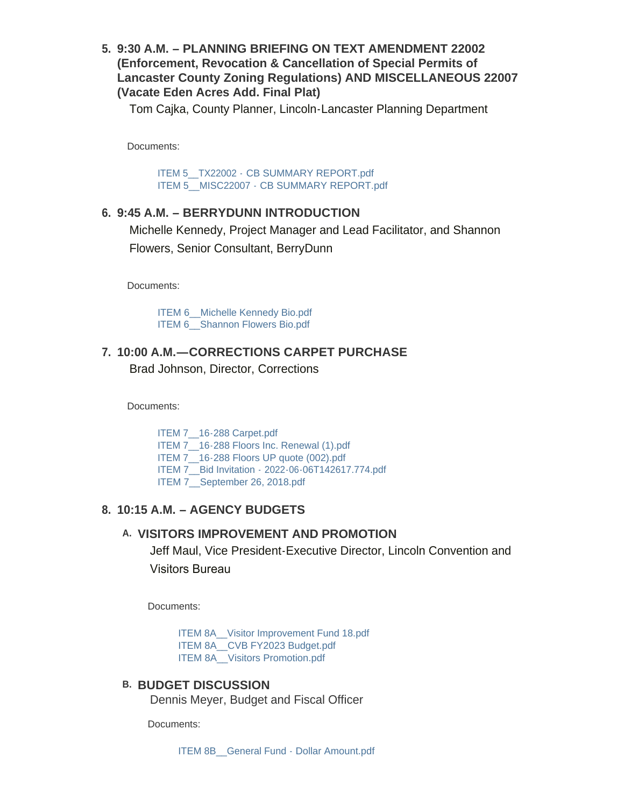**9:30 A.M. – PLANNING BRIEFING ON TEXT AMENDMENT 22002 5. (Enforcement, Revocation & Cancellation of Special Permits of Lancaster County Zoning Regulations) AND MISCELLANEOUS 22007 (Vacate Eden Acres Add. Final Plat)**

Tom Cajka, County Planner, Lincoln-Lancaster Planning Department

Documents:

ITEM 5\_\_TX22002 - [CB SUMMARY REPORT.pdf](https://www.lancaster.ne.gov/AgendaCenter/ViewFile/Item/5952?fileID=8399) ITEM 5 MISC22007 - [CB SUMMARY REPORT.pdf](https://www.lancaster.ne.gov/AgendaCenter/ViewFile/Item/5952?fileID=8400)

### **9:45 A.M. – BERRYDUNN INTRODUCTION 6.**

Michelle Kennedy, Project Manager and Lead Facilitator, and Shannon Flowers, Senior Consultant, BerryDunn

Documents:

[ITEM 6\\_\\_Michelle Kennedy Bio.pdf](https://www.lancaster.ne.gov/AgendaCenter/ViewFile/Item/5927?fileID=8375) ITEM 6 Shannon Flowers Bio.pdf

## **10:00 A.M.—CORRECTIONS CARPET PURCHASE 7.** Brad Johnson, Director, Corrections

Documents:

ITEM 7 16-288 Carpet.pdf ITEM 7 16-288 Floors Inc. Renewal (1).pdf ITEM 7 16-288 Floors UP quote (002).pdf ITEM 7\_\_Bid Invitation - [2022-06-06T142617.774.pdf](https://www.lancaster.ne.gov/AgendaCenter/ViewFile/Item/5928?fileID=8380) [ITEM 7\\_\\_September 26, 2018.pdf](https://www.lancaster.ne.gov/AgendaCenter/ViewFile/Item/5928?fileID=8381)

## **10:15 A.M. – AGENCY BUDGETS 8.**

### **VISITORS IMPROVEMENT AND PROMOTION A.**

Jeff Maul, Vice President-Executive Director, Lincoln Convention and Visitors Bureau

Documents:

[ITEM 8A\\_\\_Visitor Improvement Fund 18.pdf](https://www.lancaster.ne.gov/AgendaCenter/ViewFile/Item/5930?fileID=8391) ITEM 8A CVB FY2023 Budget.pdf ITEM 8A Visitors Promotion.pdf

### **BUDGET DISCUSSION B.**

Dennis Meyer, Budget and Fiscal Officer

Documents: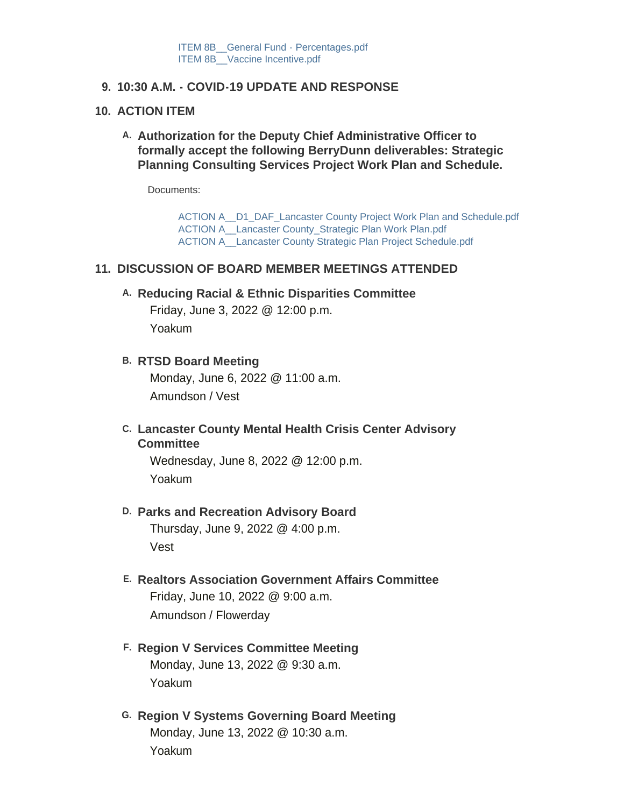### **10:30 A.M. - COVID-19 UPDATE AND RESPONSE 9.**

#### **ACTION ITEM 10.**

A. Authorization for the Deputy Chief Administrative Officer to **formally accept the following BerryDunn deliverables: Strategic Planning Consulting Services Project Work Plan and Schedule.** 

Documents:

[ACTION A\\_\\_D1\\_DAF\\_Lancaster County Project Work Plan and Schedule.pdf](https://www.lancaster.ne.gov/AgendaCenter/ViewFile/Item/5934?fileID=8387) [ACTION A\\_\\_Lancaster County\\_Strategic Plan Work Plan.pdf](https://www.lancaster.ne.gov/AgendaCenter/ViewFile/Item/5934?fileID=8388) [ACTION A\\_\\_Lancaster County Strategic Plan Project Schedule.pdf](https://www.lancaster.ne.gov/AgendaCenter/ViewFile/Item/5934?fileID=8389)

#### **DISCUSSION OF BOARD MEMBER MEETINGS ATTENDED 11.**

**Reducing Racial & Ethnic Disparities Committee A.**

Friday, June 3, 2022 @ 12:00 p.m. Yoakum

**RTSD Board Meeting B.**

Monday, June 6, 2022 @ 11:00 a.m. Amundson / Vest

**Lancaster County Mental Health Crisis Center Advisory C. Committee**

Wednesday, June 8, 2022 @ 12:00 p.m. Yoakum

#### **D. Parks and Recreation Advisory Board**

Thursday, June 9, 2022 @ 4:00 p.m. Vest

- **Realtors Association Government Affairs Committee E.** Friday, June 10, 2022 @ 9:00 a.m. Amundson / Flowerday
- **Region V Services Committee Meeting F.** Monday, June 13, 2022 @ 9:30 a.m. Yoakum
- **Region V Systems Governing Board Meeting G.** Monday, June 13, 2022 @ 10:30 a.m. Yoakum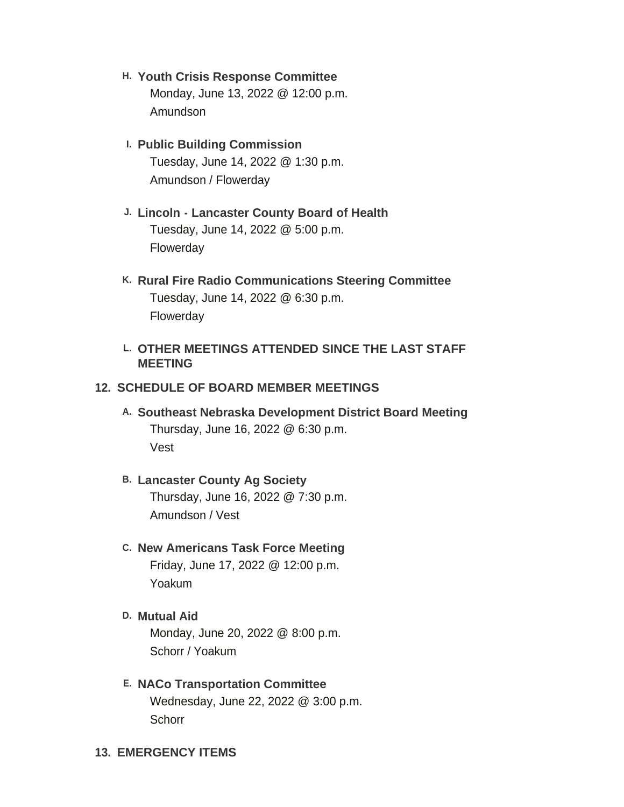- **Youth Crisis Response Committee H.** Monday, June 13, 2022 @ 12:00 p.m. Amundson
- **Public Building Commission I.** Tuesday, June 14, 2022 @ 1:30 p.m. Amundson / Flowerday
- **Lincoln Lancaster County Board of Health J.** Tuesday, June 14, 2022 @ 5:00 p.m. Flowerday
- **Rural Fire Radio Communications Steering Committee K.** Tuesday, June 14, 2022 @ 6:30 p.m. Flowerday

### **OTHER MEETINGS ATTENDED SINCE THE LAST STAFF L. MEETING**

#### **12. SCHEDULE OF BOARD MEMBER MEETINGS**

**Southeast Nebraska Development District Board Meeting A.** Thursday, June 16, 2022 @ 6:30 p.m. Vest

## **Lancaster County Ag Society B.** Thursday, June 16, 2022 @ 7:30 p.m. Amundson / Vest

## **New Americans Task Force Meeting C.** Friday, June 17, 2022 @ 12:00 p.m. Yoakum

**Mutual Aid D.** Monday, June 20, 2022 @ 8:00 p.m. Schorr / Yoakum

## **NACo Transportation Committee E.** Wednesday, June 22, 2022 @ 3:00 p.m. **Schorr**

**EMERGENCY ITEMS 13.**